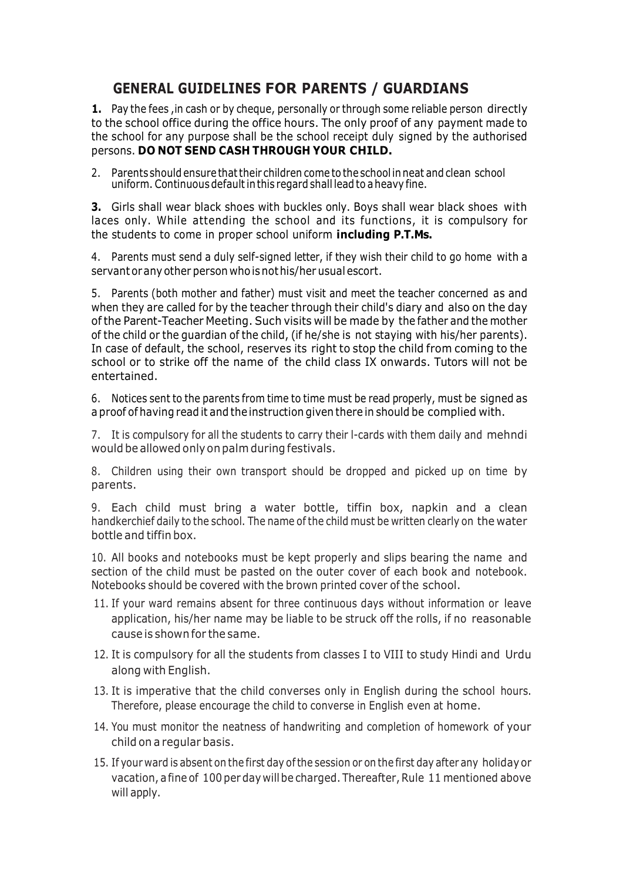## **GENERAL GUIDELINES FOR PARENTS / GUARDIANS**

**1.** Pay the fees ,in cash or by cheque, personally or through some reliable person directly to the school office during the office hours. The only proof of any payment made to the school for any purpose shall be the school receipt duly signed by the authorised persons. **DO NOT SEND CASH THROUGH YOUR CHILD.**

2. Parents should ensure thattheir children come to the school inneat and clean school uniform. Continuous default in this regard shall lead to a heavy fine.

**3.** Girls shall wear black shoes with buckles only. Boys shall wear black shoes with laces only. While attending the school and its functions, it is compulsory for the students to come in proper school uniform **including P.T.Ms.**

4. Parents must send a duly self-signed letter, if they wish their child to go home with a servant orany other person whoisnot his/her usual escort.

5. Parents (both mother and father) must visit and meet the teacher concerned as and when they are called for by the teacher through their child's diary and also on the day of the Parent-Teacher Meeting. Such visits will be made by the father and the mother of the child or the guardian of the child, (if he/she is not staying with his/her parents). In case of default, the school, reserves its right to stop the child from coming to the school or to strike off the name of the child class IX onwards. Tutors will not be entertained.

6. Notices sent to the parents from time to time must be read properly, must be signed as a proof of having read it and the instruction given there in should be complied with.

7. It is compulsory for all the students to carry their l-cards with them daily and mehndi would be allowed onlyonpalm during festivals.

8. Children using their own transport should be dropped and picked up on time by parents.

9. Each child must bring a water bottle, tiffin box, napkin and a clean handkerchief daily to the school. The name of the child must be written clearly on the water bottle and tiffin box.

10. All books and notebooks must be kept properly and slips bearing the name and section of the child must be pasted on the outer cover of each book and notebook. Notebooks should be covered with the brown printed cover of the school.

- 11. If your ward remains absent for three continuous days without information or leave application, his/her name may be liable to be struck off the rolls, if no reasonable cause is shownfor the same.
- 12. It is compulsory for all the students from classes I to VIII to study Hindi and Urdu along with English.
- 13. It is imperative that the child converses only in English during the school hours. Therefore, please encourage the child to converse in English even at home.
- 14. You must monitor the neatness of handwriting and completion of homework of your child on a regular basis.
- 15. If your ward is absent on the first day ofthe session or on the first day after any holiday or vacation, a fine of 100 per day will be charged. Thereafter, Rule 11 mentioned above will apply.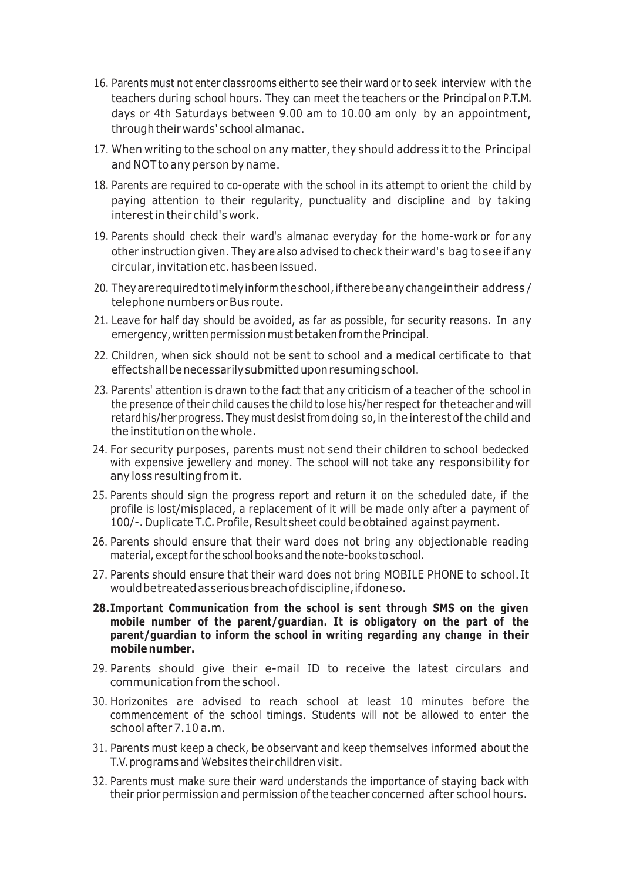- 16. Parents must not enter classrooms either to see their ward or to seek interview with the teachers during school hours. They can meet the teachers or the Principal on P.T.M. days or 4th Saturdays between 9.00 am to 10.00 am only by an appointment, through their wards'school almanac.
- 17. When writing to the school on any matter, they should address it to the Principal and NOTto any person by name.
- 18. Parents are required to co-operate with the school in its attempt to orient the child by paying attention to their regularity, punctuality and discipline and by taking interestin their child's work.
- 19. Parents should check their ward's almanac everyday for the home-work or for any other instruction given. They are also advised to check their ward's bag to see if any circular,invitation etc.hasbeenissued.
- 20. They are required to timely inform the school, if there be any change in their address / telephone numbers or Bus route.
- 21. Leave for half day should be avoided, as far as possible, for security reasons. In any emergency, written permission must betaken from the Principal.
- 22. Children, when sick should not be sent to school and a medical certificate to that effectshallbenecessarilysubmitteduponresumingschool.
- 23. Parents' attention is drawn to the fact that any criticism of a teacher of the school in the presence of their child causes the child to lose his/her respect for theteacher and will retard his/her progress. They must desist from doing so, in the interest of the child and the institution onthe whole.
- 24. For security purposes, parents must not send their children to school bedecked with expensive jewellery and money. The school will not take any responsibility for any loss resulting from it.
- 25. Parents should sign the progress report and return it on the scheduled date, if the profile is lost/misplaced, a replacement of it will be made only after a payment of 100/-. Duplicate T.C. Profile, Result sheet could be obtained against payment.
- 26. Parents should ensure that their ward does not bring any objectionable reading material, except for the school books and the note-books to school.
- 27. Parents should ensure that their ward does not bring MOBILE PHONE to school. It would betreated as serious breach of discipline, if doneso.
- **28.Important Communication from the school is sent through SMS on the given mobile number of the parent/guardian. It is obligatory on the part of the parent/guardian to inform the school in writing regarding any change in their mobile number.**
- 29. Parents should give their e-mail ID to receive the latest circulars and communication from the school.
- 30. Horizonites are advised to reach school at least 10 minutes before the commencement of the school timings. Students will not be allowed to enter the school after 7.10 a.m.
- 31. Parents must keep a check, be observant and keep themselves informed about the T.V.programs and Websites their children visit.
- 32. Parents must make sure their ward understands the importance of staying back with their prior permission and permission of the teacher concerned after school hours.